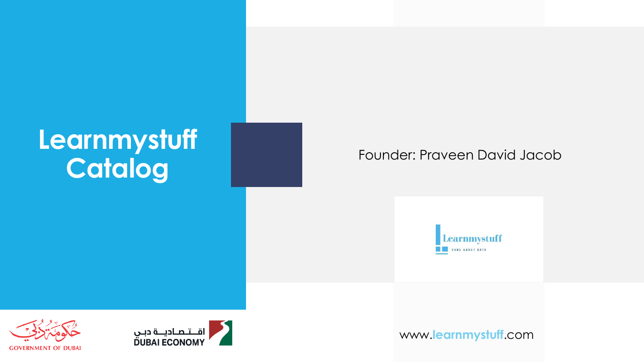### **Learnmystuff Catalog** Founder: Praveen David Jacob







www.**learnmystuff**.com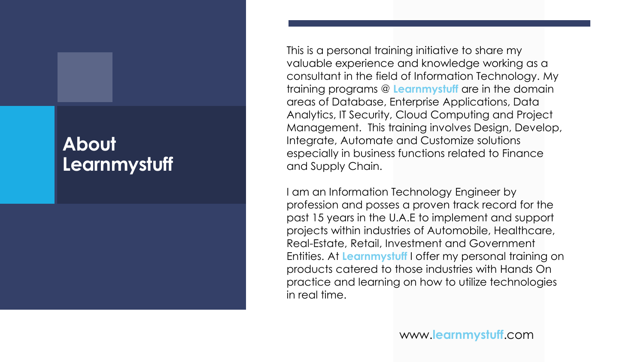### **About Learnmystuff**

This is a personal training initiative to share my valuable experience and knowledge working as a consultant in the field of Information Technology. My training programs @ **Learnmystuff** are in the domain areas of Database, Enterprise Applications, Data Analytics, IT Security, Cloud Computing and Project Management. This training involves Design, Develop, Integrate, Automate and Customize solutions especially in business functions related to Finance and Supply Chain.

I am an Information Technology Engineer by profession and posses a proven track record for the past 15 years in the U.A.E to implement and support projects within industries of Automobile, Healthcare, Real-Estate, Retail, Investment and Government Entities. At **Learnmystuff** I offer my personal training on products catered to those industries with Hands On practice and learning on how to utilize technologies in real time.

www.**learnmystuff**.com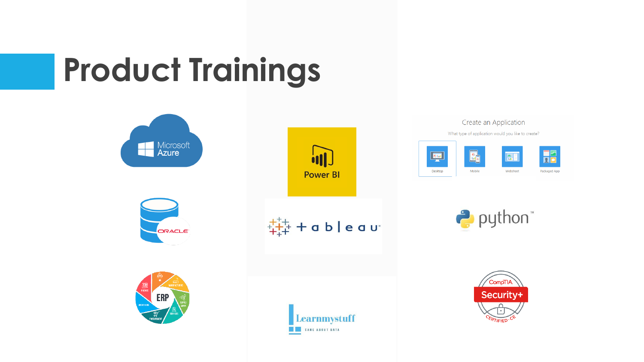# **Product Trainings**

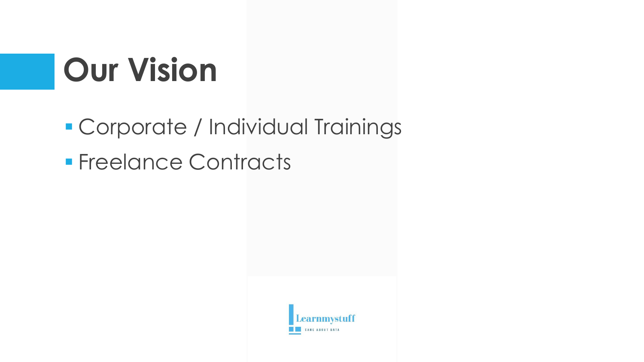# **Our Vision**

▪ Corporate / Individual Trainings

■ Freelance Contracts

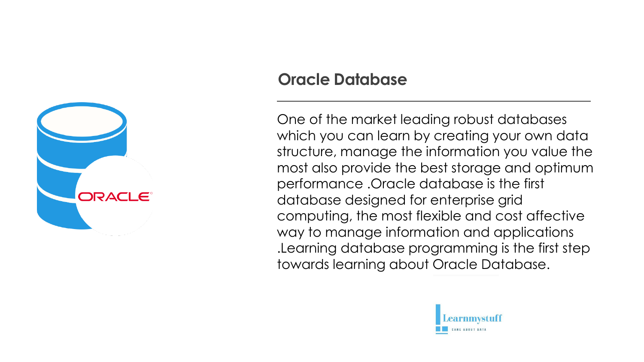

### **Oracle Database**

One of the market leading robust databases which you can learn by creating your own data structure, manage the information you value the most also provide the best storage and optimum performance .Oracle database is the first database designed for enterprise grid computing, the most flexible and cost affective way to manage information and applications .Learning database programming is the first step towards learning about Oracle Database.

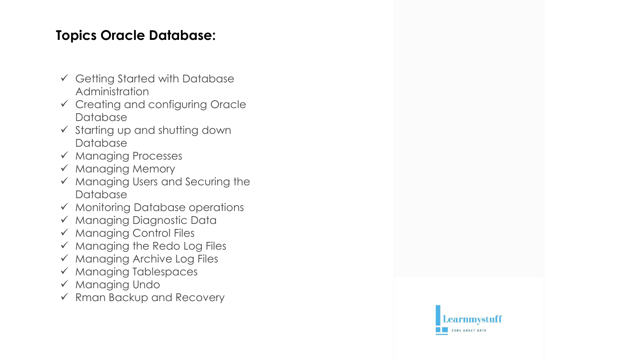### **Topics Oracle Database:**

- ✓ Getting Started with Database Administration
- ✓ Creating and configuring Oracle **Database**
- ✓ Starting up and shutting down Database
- ✓ Managing Processes
- ✓ Managing Memory
- ✓ Managing Users and Securing the Database
- ✓ Monitoring Database operations
- ✓ Managing Diagnostic Data
- ✓ Managing Control Files
- ✓ Managing the Redo Log Files
- ✓ Managing Archive Log Files
- ✓ Managing Tablespaces
- ✓ Managing Undo
- ✓ Rman Backup and Recovery

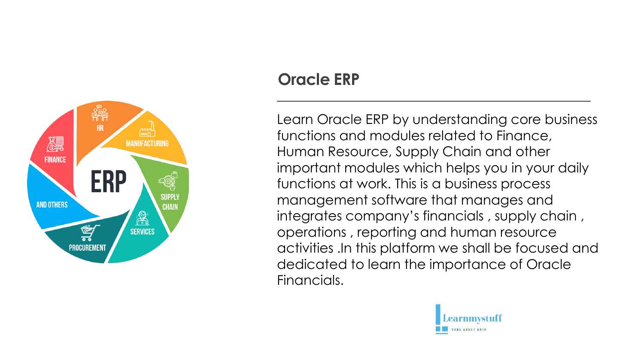

### **Oracle ERP**

Learn Oracle ERP by understanding core business functions and modules related to Finance, Human Resource, Supply Chain and other important modules which helps you in your daily functions at work. This is a business process management software that manages and integrates company's financials , supply chain , operations , reporting and human resource activities .In this platform we shall be focused and dedicated to learn the importance of Oracle Financials.

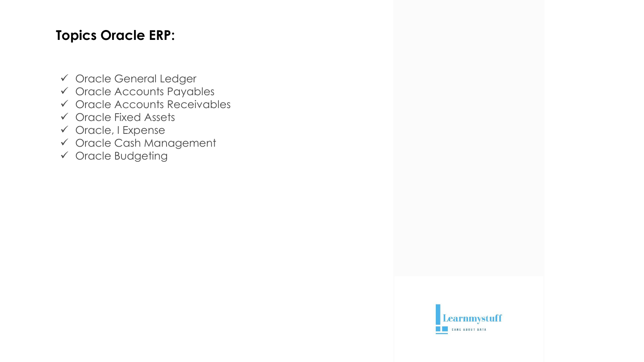### **Topics Oracle ERP:**

- ✓ Oracle General Ledger
- ✓ Oracle Accounts Payables
- ✓ Oracle Accounts Receivables
- ✓ Oracle Fixed Assets
- ✓ Oracle, I Expense
- ✓ Oracle Cash Management
- ✓ Oracle Budgeting

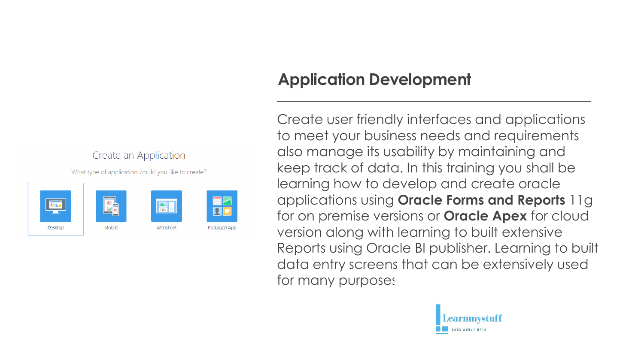

### **Application Development**

Create user friendly interfaces and applications to meet your business needs and requirements also manage its usability by maintaining and keep track of data. In this training you shall be learning how to develop and create oracle applications using **Oracle Forms and Reports** 11g for on premise versions or **Oracle Apex** for cloud version along with learning to built extensive Reports using Oracle BI publisher. Learning to built data entry screens that can be extensively used for many purposes

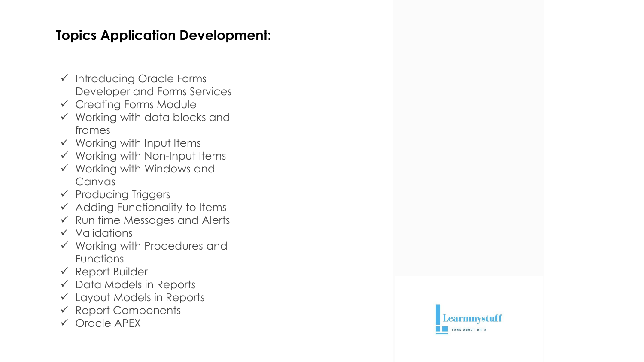### **Topics Application Development:**

- ✓ Introducing Oracle Forms Developer and Forms Services
- ✓ Creating Forms Module
- $\checkmark$  Working with data blocks and frames
- ✓ Working with Input Items
- $\checkmark$  Working with Non-Input Items
- ✓ Working with Windows and Canvas
- ✓ Producing Triggers
- ✓ Adding Functionality to Items
- ✓ Run time Messages and Alerts
- ✓ Validations
- ✓ Working with Procedures and Functions
- $\checkmark$  Report Builder
- $\checkmark$  Data Models in Reports
- ✓ Layout Models in Reports
- $\checkmark$  Report Components
- ✓ Oracle APEX

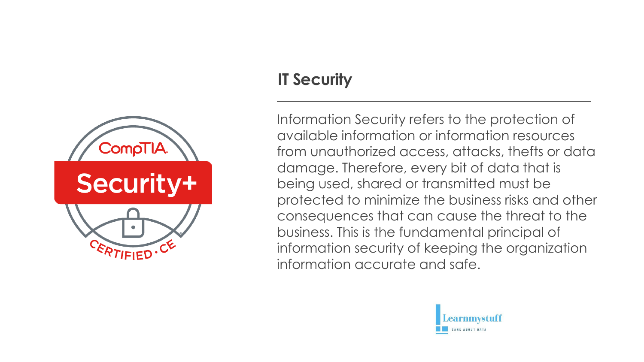

### **IT Security**

Information Security refers to the protection of available information or information resources from unauthorized access, attacks, thefts or data damage. Therefore, every bit of data that is being used, shared or transmitted must be protected to minimize the business risks and other consequences that can cause the threat to the business. This is the fundamental principal of information security of keeping the organization information accurate and safe.

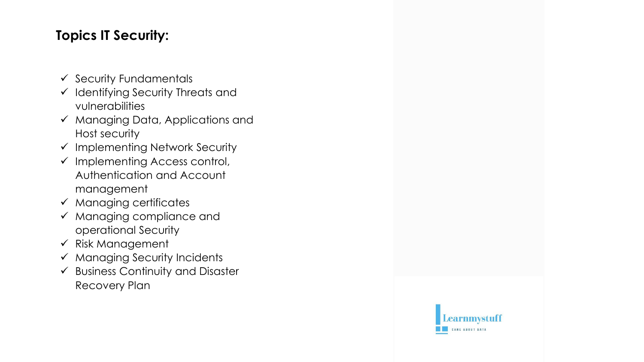### **Topics IT Security:**

- $\checkmark$  Security Fundamentals
- ✓ Identifying Security Threats and vulnerabilities
- ✓ Managing Data, Applications and Host security
- ✓ Implementing Network Security
- $\checkmark$  Implementing Access control, Authentication and Account management
- $\checkmark$  Managing certificates
- ✓ Managing compliance and operational Security
- $\checkmark$  Risk Management
- ✓ Managing Security Incidents
- $\checkmark$  Business Continuity and Disaster Recovery Plan

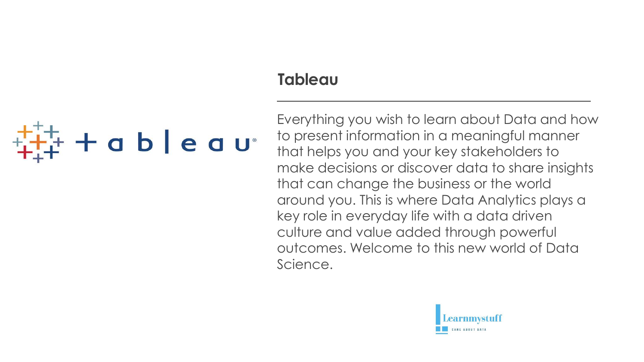### **Tableau**

# **tableau**

Everything you wish to learn about Data and how to present information in a meaningful manner that helps you and your key stakeholders to make decisions or discover data to share insights that can change the business or the world around you. This is where Data Analytics plays a key role in everyday life with a data driven culture and value added through powerful outcomes. Welcome to this new world of Data Science.

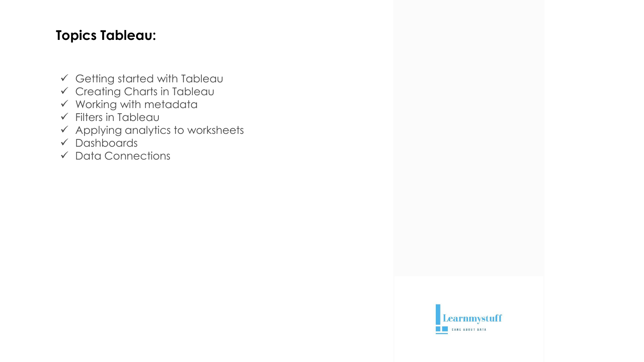### **Topics Tableau:**

- $\checkmark$  Getting started with Tableau
- ✓ Creating Charts in Tableau
- $\checkmark$  Working with metadata
- $\checkmark$  Filters in Tableau
- $\checkmark$  Applying analytics to worksheets
- ✓ Dashboards
- ✓ Data Connections

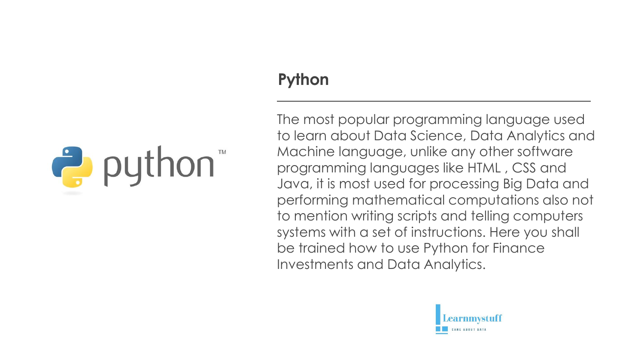# *i* puthon

### **Python**

The most popular programming language used to learn about Data Science, Data Analytics and Machine language, unlike any other software programming languages like HTML , CSS and Java, it is most used for processing Big Data and performing mathematical computations also not to mention writing scripts and telling computers systems with a set of instructions. Here you shall be trained how to use Python for Finance Investments and Data Analytics.

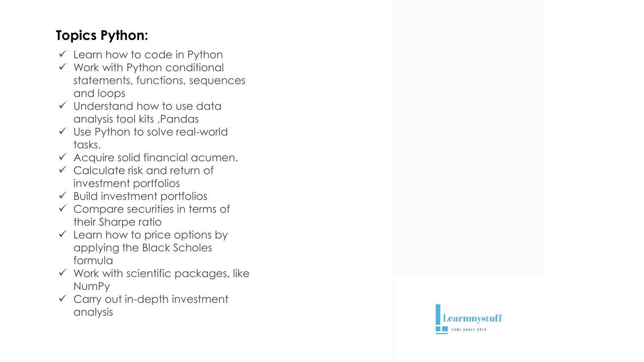### **Topics Python:**

- $\checkmark$  Learn how to code in Python
- $\checkmark$  Work with Python conditional statements, functions, sequences and loops
- ✓ Understand how to use data analysis tool kits ,Pandas
- ✓ Use Python to solve real -world tasks.
- $\checkmark$  Acquire solid financial acumen.
- ✓ Calculate risk and return of investment portfolios
- $\checkmark$  Build investment portfolios
- $\checkmark$  Compare securities in terms of their Sharpe ratio
- $\checkmark$  Learn how to price options by applying the Black Scholes formula
- $\checkmark$  Work with scientific packages, like NumPy
- ✓ Carry out in -depth investment analysis

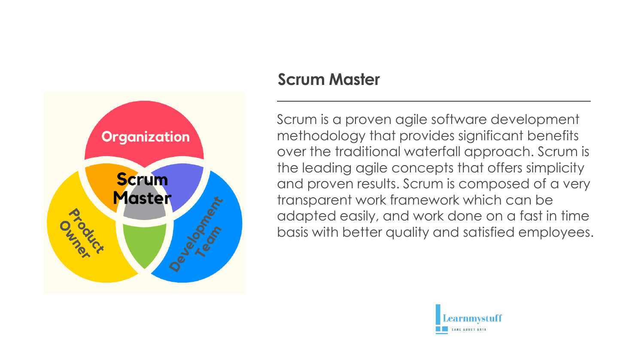

### **Scrum Master**

Scrum is a proven agile software development methodology that provides significant benefits over the traditional waterfall approach. Scrum is the leading agile concepts that offers simplicity and proven results. Scrum is composed of a very transparent work framework which can be adapted easily, and work done on a fast in time basis with better quality and satisfied employees.

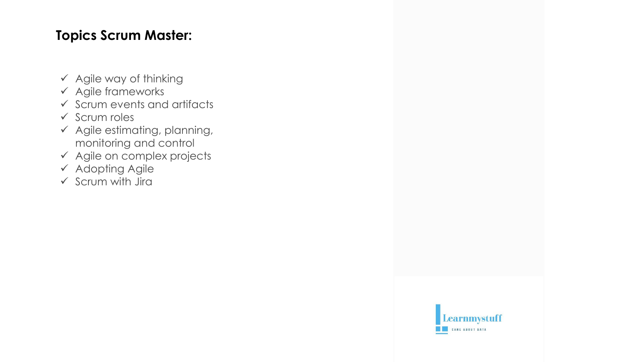### **Topics Scrum Master:**

- $\checkmark$  Agile way of thinking
- ✓ Agile frameworks
- $\checkmark$  Scrum events and artifacts
- ✓ Scrum roles
- $\checkmark$  Agile estimating, planning, monitoring and control
- ✓ Agile on complex projects
- ✓ Adopting Agile
- $\checkmark$  Scrum with Jira

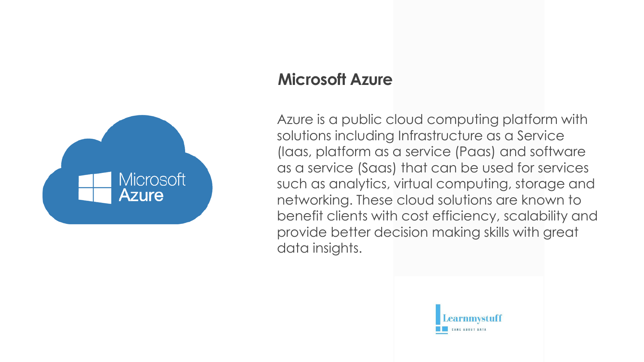

### **Microsoft Azure**

Azure is a public cloud computing platform with solutions including Infrastructure as a Service (Iaas, platform as a service (Paas) and software as a service (Saas) that can be used for services such as analytics, virtual computing, storage and networking. These cloud solutions are known to benefit clients with cost efficiency, scalability and provide better decision making skills with great data insights.

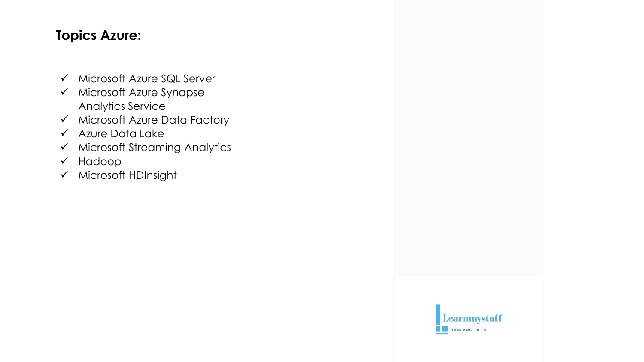### **Topics Azure:**

- ✓ Microsoft Azure SQL Server
- ✓ Microsoft Azure Synapse Analytics Service
- ✓ Microsoft Azure Data Factory
- ✓ Azure Data Lake
- ✓ Microsoft Streaming Analytics
- ✓ Hadoop
- ✓ Microsoft HDInsight

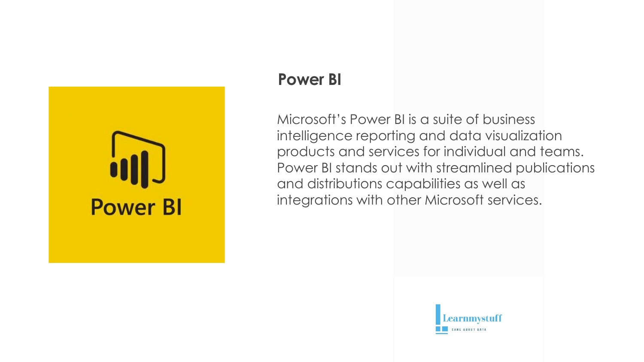

### **Power BI**

Microsoft's Power BI is a suite of business intelligence reporting and data visualization products and services for individual and teams. Power BI stands out with streamlined publications and distributions capabilities as well as integrations with other Microsoft services.

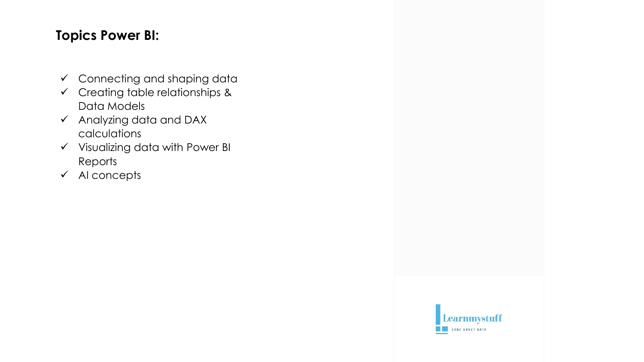### **Topics Power BI:**

- $\checkmark$  Connecting and shaping data
- $\checkmark$  Creating table relationships & Data Models
- $\checkmark$  Analyzing data and DAX calculations
- ✓ Visualizing data with Power BI Reports
- ✓ AI concepts

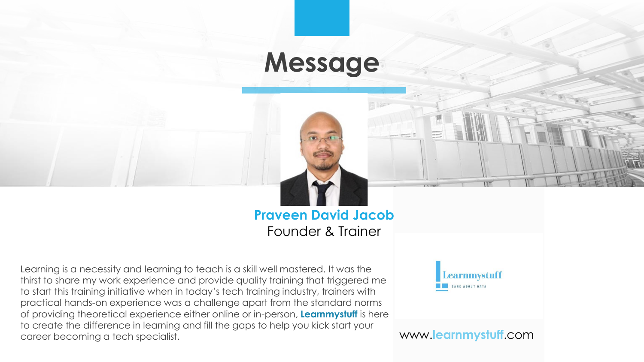### **Message**



Learning is a necessity and learning to teach is a skill well mastered. It was the thirst to share my work experience and provide quality training that triggered me to start this training initiative when in today's tech training industry, trainers with practical hands-on experience was a challenge apart from the standard norms of providing theoretical experience either online or in-person, **Learnmystuff** is here to create the difference in learning and fill the gaps to help you kick start your career becoming a tech specialist. www.**learnmystuff**.com